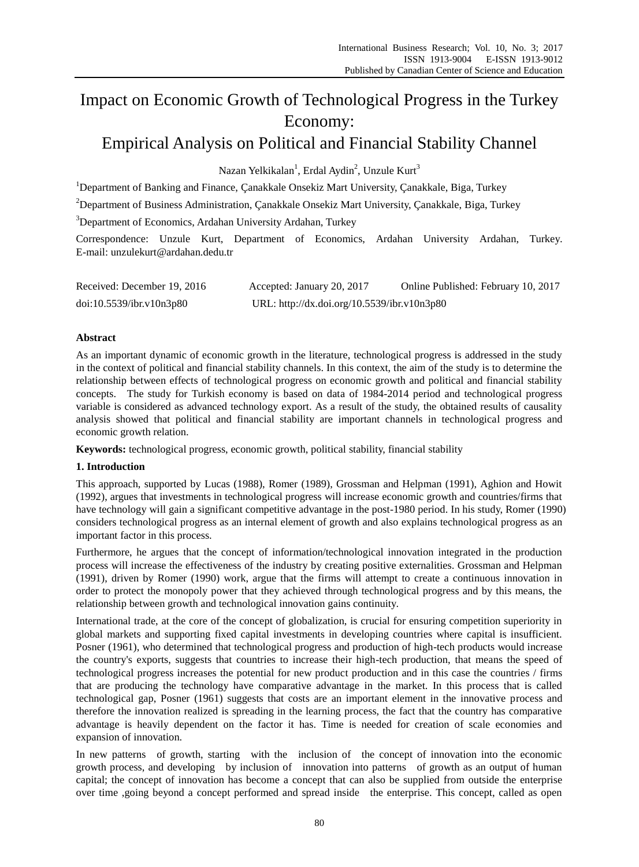# Impact on Economic Growth of Technological Progress in the Turkey Economy:

## Empirical Analysis on Political and Financial Stability Channel

Nazan Yelkikalan<sup>1</sup>, Erdal Aydin<sup>2</sup>, Unzule Kurt<sup>3</sup>

<sup>1</sup>Department of Banking and Finance, Canakkale Onsekiz Mart University, Canakkale, Biga, Turkey

<sup>2</sup>Department of Business Administration, Canakkale Onsekiz Mart University, Canakkale, Biga, Turkey

<sup>3</sup>Department of Economics, Ardahan University Ardahan, Turkey

Correspondence: Unzule Kurt, Department of Economics, Ardahan University Ardahan, Turkey. E-mail: unzulekurt@ardahan.dedu.tr

| Received: December 19, 2016 | Accepted: January 20, 2017                  | Online Published: February 10, 2017 |
|-----------------------------|---------------------------------------------|-------------------------------------|
| doi:10.5539/ibr.v10n3p80    | URL: http://dx.doi.org/10.5539/ibr.v10n3p80 |                                     |

### **Abstract**

As an important dynamic of economic growth in the literature, technological progress is addressed in the study in the context of political and financial stability channels. In this context, the aim of the study is to determine the relationship between effects of technological progress on economic growth and political and financial stability concepts. The study for Turkish economy is based on data of 1984-2014 period and technological progress variable is considered as advanced technology export. As a result of the study, the obtained results of causality analysis showed that political and financial stability are important channels in technological progress and economic growth relation.

**Keywords:** technological progress, economic growth, political stability, financial stability

#### **1. Introduction**

This approach, supported by Lucas (1988), Romer (1989), Grossman and Helpman (1991), Aghion and Howit (1992), argues that investments in technological progress will increase economic growth and countries/firms that have technology will gain a significant competitive advantage in the post-1980 period. In his study, Romer (1990) considers technological progress as an internal element of growth and also explains technological progress as an important factor in this process.

Furthermore, he argues that the concept of information/technological innovation integrated in the production process will increase the effectiveness of the industry by creating positive externalities. Grossman and Helpman (1991), driven by Romer (1990) work, argue that the firms will attempt to create a continuous innovation in order to protect the monopoly power that they achieved through technological progress and by this means, the relationship between growth and technological innovation gains continuity.

International trade, at the core of the concept of globalization, is crucial for ensuring competition superiority in global markets and supporting fixed capital investments in developing countries where capital is insufficient. Posner (1961), who determined that technological progress and production of high-tech products would increase the country's exports, suggests that countries to increase their high-tech production, that means the speed of technological progress increases the potential for new product production and in this case the countries / firms that are producing the technology have comparative advantage in the market. In this process that is called technological gap, Posner (1961) suggests that costs are an important element in the innovative process and therefore the innovation realized is spreading in the learning process, the fact that the country has comparative advantage is heavily dependent on the factor it has. Time is needed for creation of scale economies and expansion of innovation.

In new patterns of growth, starting with the inclusion of the concept of innovation into the economic growth process, and developing by inclusion of innovation into patterns of growth as an output of human capital; the concept of innovation has become a concept that can also be supplied from outside the enterprise over time ,going beyond a concept performed and spread inside the enterprise. This concept, called as open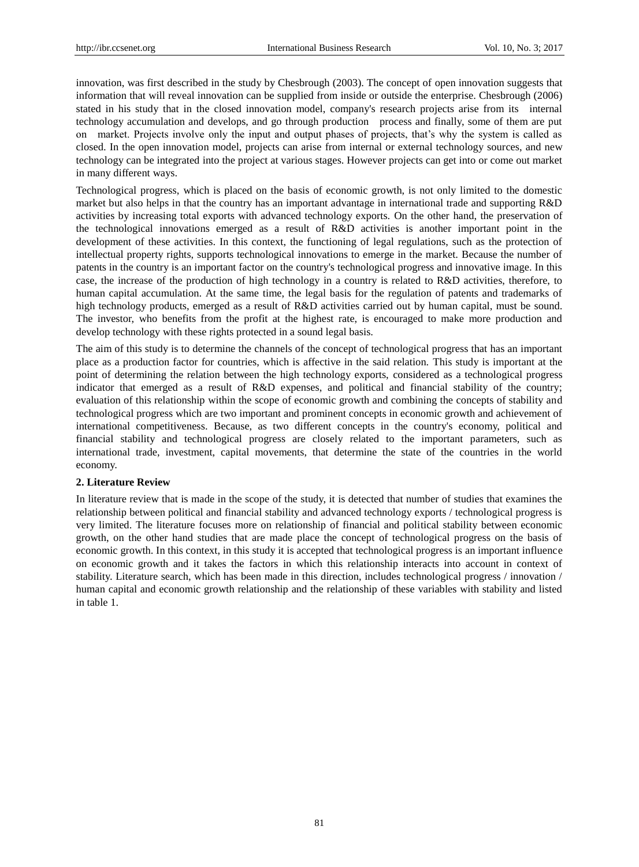innovation, was first described in the study by Chesbrough (2003). The concept of open innovation suggests that information that will reveal innovation can be supplied from inside or outside the enterprise. Chesbrough (2006) stated in his study that in the closed innovation model, company's research projects arise from its internal technology accumulation and develops, and go through production process and finally, some of them are put on market. Projects involve only the input and output phases of projects, that's why the system is called as closed. In the open innovation model, projects can arise from internal or external technology sources, and new technology can be integrated into the project at various stages. However projects can get into or come out market in many different ways.

Technological progress, which is placed on the basis of economic growth, is not only limited to the domestic market but also helps in that the country has an important advantage in international trade and supporting R&D activities by increasing total exports with advanced technology exports. On the other hand, the preservation of the technological innovations emerged as a result of R&D activities is another important point in the development of these activities. In this context, the functioning of legal regulations, such as the protection of intellectual property rights, supports technological innovations to emerge in the market. Because the number of patents in the country is an important factor on the country's technological progress and innovative image. In this case, the increase of the production of high technology in a country is related to R&D activities, therefore, to human capital accumulation. At the same time, the legal basis for the regulation of patents and trademarks of high technology products, emerged as a result of R&D activities carried out by human capital, must be sound. The investor, who benefits from the profit at the highest rate, is encouraged to make more production and develop technology with these rights protected in a sound legal basis.

The aim of this study is to determine the channels of the concept of technological progress that has an important place as a production factor for countries, which is affective in the said relation. This study is important at the point of determining the relation between the high technology exports, considered as a technological progress indicator that emerged as a result of R&D expenses, and political and financial stability of the country; evaluation of this relationship within the scope of economic growth and combining the concepts of stability and technological progress which are two important and prominent concepts in economic growth and achievement of international competitiveness. Because, as two different concepts in the country's economy, political and financial stability and technological progress are closely related to the important parameters, such as international trade, investment, capital movements, that determine the state of the countries in the world economy.

#### **2. Literature Review**

In literature review that is made in the scope of the study, it is detected that number of studies that examines the relationship between political and financial stability and advanced technology exports / technological progress is very limited. The literature focuses more on relationship of financial and political stability between economic growth, on the other hand studies that are made place the concept of technological progress on the basis of economic growth. In this context, in this study it is accepted that technological progress is an important influence on economic growth and it takes the factors in which this relationship interacts into account in context of stability. Literature search, which has been made in this direction, includes technological progress / innovation / human capital and economic growth relationship and the relationship of these variables with stability and listed in table 1.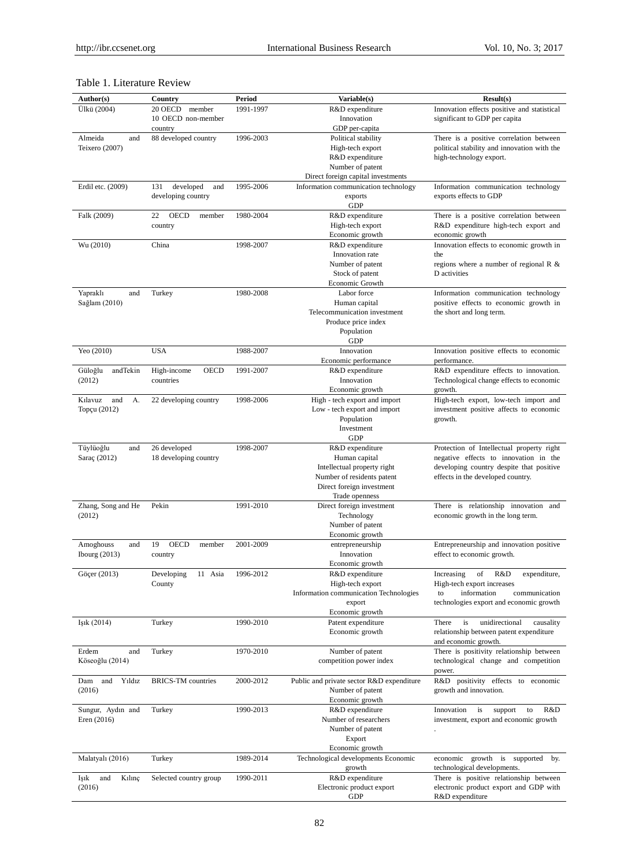## Table 1. Literature Review

| Author(s)              | Country                     | <b>Period</b> | Variable(s)                                            | Result(s)                                                                          |
|------------------------|-----------------------------|---------------|--------------------------------------------------------|------------------------------------------------------------------------------------|
| Ülk ü(2004)            | 20 OECD<br>member           | 1991-1997     | R&D expenditure                                        | Innovation effects positive and statistical                                        |
|                        | 10 OECD non-member          |               | Innovation                                             | significant to GDP per capita                                                      |
|                        | country                     |               | GDP per-capita                                         |                                                                                    |
| Almeida<br>and         | 88 developed country        | 1996-2003     | Political stability                                    | There is a positive correlation between                                            |
| Teixero (2007)         |                             |               | High-tech export                                       | political stability and innovation with the                                        |
|                        |                             |               | R&D expenditure<br>Number of patent                    | high-technology export.                                                            |
|                        |                             |               | Direct foreign capital investments                     |                                                                                    |
| Erdil etc. (2009)      | 131<br>developed<br>and     | 1995-2006     | Information communication technology                   | Information communication technology                                               |
|                        | developing country          |               | exports                                                | exports effects to GDP                                                             |
|                        |                             |               | <b>GDP</b>                                             |                                                                                    |
| Falk (2009)            | 22<br><b>OECD</b><br>member | 1980-2004     | R&D expenditure                                        | There is a positive correlation between                                            |
|                        | country                     |               | High-tech export                                       | R&D expenditure high-tech export and                                               |
|                        |                             |               | Economic growth                                        | economic growth                                                                    |
| Wu (2010)              | China                       | 1998-2007     | R&D expenditure                                        | Innovation effects to economic growth in                                           |
|                        |                             |               | Innovation rate<br>Number of patent                    | the<br>regions where a number of regional $R \&$                                   |
|                        |                             |               | Stock of patent                                        | D activities                                                                       |
|                        |                             |               | Economic Growth                                        |                                                                                    |
| Yapraklı<br>and        | Turkey                      | 1980-2008     | Labor force                                            | Information communication technology                                               |
| Sağlam (2010)          |                             |               | Human capital                                          | positive effects to economic growth in                                             |
|                        |                             |               | Telecommunication investment                           | the short and long term.                                                           |
|                        |                             |               | Produce price index                                    |                                                                                    |
|                        |                             |               | Population                                             |                                                                                    |
|                        |                             |               | <b>GDP</b>                                             |                                                                                    |
| Yeo (2010)             | <b>USA</b>                  | 1988-2007     | Innovation<br>Economic performance                     | Innovation positive effects to economic<br>performance.                            |
| Güloğlu<br>andTekin    | High-income<br><b>OECD</b>  | 1991-2007     | R&D expenditure                                        | R&D expenditure effects to innovation.                                             |
| (2012)                 | countries                   |               | Innovation                                             | Technological change effects to economic                                           |
|                        |                             |               | Economic growth                                        | growth.                                                                            |
| Kılavuz<br>and<br>A.   | 22 developing country       | 1998-2006     | High - tech export and import                          | High-tech export, low-tech import and                                              |
| Top <i>q</i> u (2012)  |                             |               | Low - tech export and import                           | investment positive affects to economic                                            |
|                        |                             |               | Population                                             | growth.                                                                            |
|                        |                             |               | Investment                                             |                                                                                    |
|                        |                             |               | <b>GDP</b>                                             |                                                                                    |
| Tüylüoğlu<br>and       | 26 developed                | 1998-2007     | R&D expenditure<br>Human capital                       | Protection of Intellectual property right<br>negative effects to innovation in the |
| Sara $\varphi(2012)$   | 18 developing country       |               | Intellectual property right                            | developing country despite that positive                                           |
|                        |                             |               | Number of residents patent                             | effects in the developed country.                                                  |
|                        |                             |               | Direct foreign investment                              |                                                                                    |
|                        |                             |               | Trade openness                                         |                                                                                    |
| Zhang, Song and He     | Pekin                       | 1991-2010     | Direct foreign investment                              | There is relationship innovation and                                               |
| (2012)                 |                             |               | Technology                                             | economic growth in the long term.                                                  |
|                        |                             |               | Number of patent                                       |                                                                                    |
|                        |                             |               | Economic growth                                        |                                                                                    |
| Amoghouss<br>and       | 19<br><b>OECD</b><br>member | 2001-2009     | entrepreneurship<br>Innovation                         | Entrepreneurship and innovation positive<br>effect to economic growth.             |
| Ibourg $(2013)$        | country                     |               | Economic growth                                        |                                                                                    |
| Göger (2013)           | Developing<br>11 Asia       | 1996-2012     | R&D expenditure                                        | of R&D<br>Increasing<br>expenditure,                                               |
|                        | County                      |               | High-tech export                                       | High-tech export increases                                                         |
|                        |                             |               | Information communication Technologies                 | information<br>communication<br>to                                                 |
|                        |                             |               | export                                                 | technologies export and economic growth                                            |
|                        |                             |               | Economic growth                                        |                                                                                    |
| Işık (2014)            | Turkey                      | 1990-2010     | Patent expenditure                                     | There<br>is<br>unidirectional<br>causality                                         |
|                        |                             |               | Economic growth                                        | relationship between patent expenditure                                            |
| Erdem                  |                             | 1970-2010     | Number of patent                                       | and economic growth.<br>There is positivity relationship between                   |
| and<br>Köseoğlu (2014) | Turkey                      |               | competition power index                                | technological change and competition                                               |
|                        |                             |               |                                                        | power.                                                                             |
| and<br>Yıldız<br>Dam   | <b>BRICS-TM</b> countries   | 2000-2012     | Public and private sector R&D expenditure              | R&D positivity effects to economic                                                 |
| (2016)                 |                             |               | Number of patent                                       | growth and innovation.                                                             |
|                        |                             |               | Economic growth                                        |                                                                                    |
| Sungur, Aydın and      | Turkey                      | 1990-2013     | R&D expenditure                                        | Innovation<br>is<br>R&D<br>support<br>to                                           |
| Eren $(2016)$          |                             |               | Number of researchers                                  | investment, export and economic growth                                             |
|                        |                             |               | Number of patent                                       |                                                                                    |
|                        |                             |               | Export                                                 |                                                                                    |
| Malatyalı (2016)       | Turkey                      | 1989-2014     | Economic growth<br>Technological developments Economic | growth is<br>economic<br>supported by.                                             |
|                        |                             |               | growth                                                 | technological developments.                                                        |
| Işık<br>and<br>Kılınç  | Selected country group      | 1990-2011     | R&D expenditure                                        | There is positive relationship between                                             |
| (2016)                 |                             |               | Electronic product export                              | electronic product export and GDP with                                             |
|                        |                             |               | GDP                                                    | R&D expenditure                                                                    |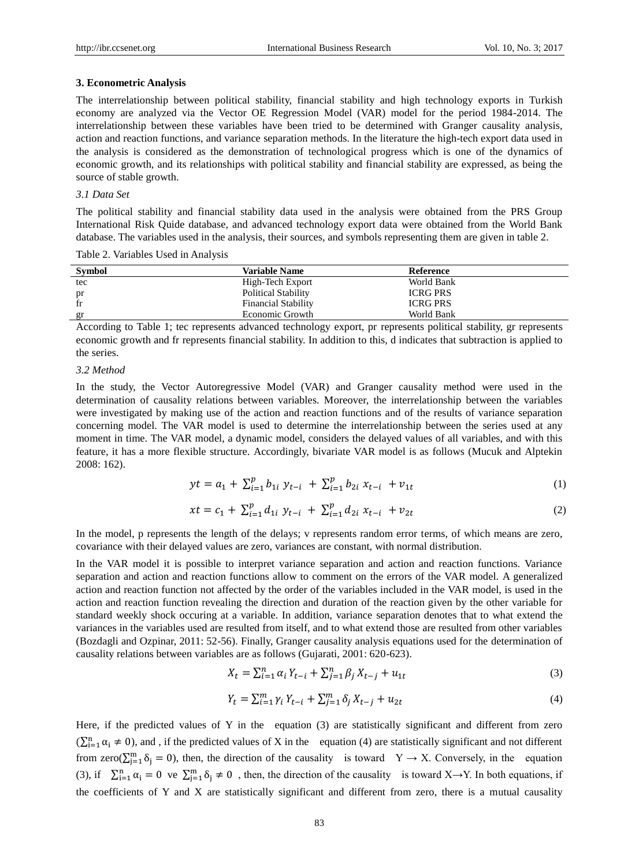#### **3. Econometric Analysis**

The interrelationship between political stability, financial stability and high technology exports in Turkish economy are analyzed via the Vector OE Regression Model (VAR) model for the period 1984-2014. The interrelationship between these variables have been tried to be determined with Granger causality analysis, action and reaction functions, and variance separation methods. In the literature the high-tech export data used in the analysis is considered as the demonstration of technological progress which is one of the dynamics of economic growth, and its relationships with political stability and financial stability are expressed, as being the source of stable growth.

#### *3.1 Data Set*

The political stability and financial stability data used in the analysis were obtained from the PRS Group International Risk Quide database, and advanced technology export data were obtained from the World Bank database. The variables used in the analysis, their sources, and symbols representing them are given in table 2.

Table 2. Variables Used in Analysis

| <b>Symbol</b> | <b>Variable Name</b>       | Reference       |  |
|---------------|----------------------------|-----------------|--|
| tec           | High-Tech Export           | World Bank      |  |
| pr            | <b>Political Stability</b> | <b>ICRG PRS</b> |  |
| $_{\rm fr}$   | <b>Financial Stability</b> | <b>ICRG PRS</b> |  |
| gr            | Economic Growth            | World Bank      |  |

According to Table 1; tec represents advanced technology export, pr represents political stability, gr represents economic growth and fr represents financial stability. In addition to this, d indicates that subtraction is applied to the series.

#### *3.2 Method*

In the study, the Vector Autoregressive Model (VAR) and Granger causality method were used in the determination of causality relations between variables. Moreover, the interrelationship between the variables were investigated by making use of the action and reaction functions and of the results of variance separation concerning model. The VAR model is used to determine the interrelationship between the series used at any moment in time. The VAR model, a dynamic model, considers the delayed values of all variables, and with this feature, it has a more flexible structure. Accordingly, bivariate VAR model is as follows (Mucuk and Alptekin 2008: 162).

$$
yt = a_1 + \sum_{i=1}^{p} b_{1i} y_{t-i} + \sum_{i=1}^{p} b_{2i} x_{t-i} + v_{1t}
$$
 (1)

$$
xt = c_1 + \sum_{i=1}^{p} d_{1i} y_{t-i} + \sum_{i=1}^{p} d_{2i} x_{t-i} + v_{2t}
$$
 (2)

In the model, p represents the length of the delays; v represents random error terms, of which means are zero, covariance with their delayed values are zero, variances are constant, with normal distribution.

In the VAR model it is possible to interpret variance separation and action and reaction functions. Variance separation and action and reaction functions allow to comment on the errors of the VAR model. A generalized action and reaction function not affected by the order of the variables included in the VAR model, is used in the action and reaction function revealing the direction and duration of the reaction given by the other variable for standard weekly shock occuring at a variable. In addition, variance separation denotes that to what extend the variances in the variables used are resulted from itself, and to what extend those are resulted from other variables (Bozdagli and Ozpinar, 2011: 52-56). Finally, Granger causality analysis equations used for the determination of causality relations between variables are as follows (Gujarati, 2001: 620-623).

$$
X_t = \sum_{i=1}^n \alpha_i Y_{t-i} + \sum_{j=1}^n \beta_j X_{t-j} + u_{1t}
$$
\n(3)

$$
Y_t = \sum_{i=1}^{m} \gamma_i Y_{t-i} + \sum_{j=1}^{m} \delta_j X_{t-j} + u_{2t}
$$
\n(4)

Here, if the predicted values of Y in the equation (3) are statistically significant and different from zero  $(\sum_{i=1}^{n} \alpha_i \neq 0)$ , and , if the predicted values of X in the equation (4) are statistically significant and not different from zero( $\sum_{j=1}^{m} \delta_j = 0$ ), then, the direction of the causality is toward  $Y \to X$ . Conversely, in the equation (3), if  $\sum_{i=1}^{n} \alpha_i = 0$  ve  $\sum_{j=1}^{m} \delta_j \neq 0$ , then, the direction of the causality is toward X→Y. In both equations, if the coefficients of Y and X are statistically significant and different from zero, there is a mutual causality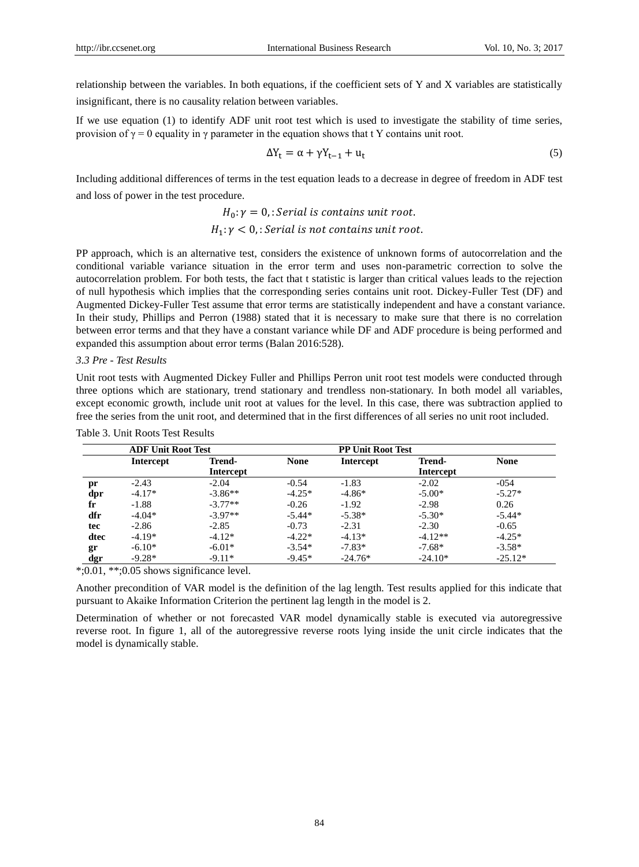relationship between the variables. In both equations, if the coefficient sets of Y and X variables are statistically insignificant, there is no causality relation between variables.

If we use equation (1) to identify ADF unit root test which is used to investigate the stability of time series, provision of  $\gamma = 0$  equality in  $\gamma$  parameter in the equation shows that t Y contains unit root.

$$
\Delta Y_t = \alpha + \gamma Y_{t-1} + u_t \tag{5}
$$

Including additional differences of terms in the test equation leads to a decrease in degree of freedom in ADF test and loss of power in the test procedure.

## $H_0: \gamma = 0$ , : Serial is contains unit root.  $H_1: \gamma < 0$ , : Serial is not contains unit root.

PP approach, which is an alternative test, considers the existence of unknown forms of autocorrelation and the conditional variable variance situation in the error term and uses non-parametric correction to solve the autocorrelation problem. For both tests, the fact that t statistic is larger than critical values leads to the rejection of null hypothesis which implies that the corresponding series contains unit root. Dickey-Fuller Test (DF) and Augmented Dickey-Fuller Test assume that error terms are statistically independent and have a constant variance. In their study, Phillips and Perron (1988) stated that it is necessary to make sure that there is no correlation between error terms and that they have a constant variance while DF and ADF procedure is being performed and expanded this assumption about error terms (Balan 2016:528).

#### *3.3 Pre - Test Results*

Unit root tests with Augmented Dickey Fuller and Phillips Perron unit root test models were conducted through three options which are stationary, trend stationary and trendless non-stationary. In both model all variables, except economic growth, include unit root at values for the level. In this case, there was subtraction applied to free the series from the unit root, and determined that in the first differences of all series no unit root included.

|      | <b>ADF Unit Root Test</b> |                  |             | <b>PP Unit Root Test</b> |                  |             |
|------|---------------------------|------------------|-------------|--------------------------|------------------|-------------|
|      | <b>Intercept</b>          | <b>Trend-</b>    | <b>None</b> | <b>Intercept</b>         | <b>Trend-</b>    | <b>None</b> |
|      |                           | <b>Intercept</b> |             |                          | <b>Intercept</b> |             |
| pr   | $-2.43$                   | $-2.04$          | $-0.54$     | $-1.83$                  | $-2.02$          | $-0.54$     |
| dpr  | $-4.17*$                  | $-3.86**$        | $-4.25*$    | $-4.86*$                 | $-5.00*$         | $-5.27*$    |
| fr   | $-1.88$                   | $-3.77**$        | $-0.26$     | $-1.92$                  | $-2.98$          | 0.26        |
| dfr  | $-4.04*$                  | $-3.97**$        | $-5.44*$    | $-5.38*$                 | $-5.30*$         | $-5.44*$    |
| tec  | $-2.86$                   | $-2.85$          | $-0.73$     | $-2.31$                  | $-2.30$          | $-0.65$     |
| dtec | $-4.19*$                  | $-4.12*$         | $-4.22*$    | $-4.13*$                 | $-4.12**$        | $-4.25*$    |
| gr   | $-6.10*$                  | $-6.01*$         | $-3.54*$    | $-7.83*$                 | $-7.68*$         | $-3.58*$    |
| dgr  | $-9.28*$                  | $-9.11*$         | $-9.45*$    | $-24.76*$                | $-24.10*$        | $-25.12*$   |

Table 3. Unit Roots Test Results

\*;0.01, \*\*;0.05 shows significance level.

Another precondition of VAR model is the definition of the lag length. Test results applied for this indicate that pursuant to Akaike Information Criterion the pertinent lag length in the model is 2.

Determination of whether or not forecasted VAR model dynamically stable is executed via autoregressive reverse root. In figure 1, all of the autoregressive reverse roots lying inside the unit circle indicates that the model is dynamically stable.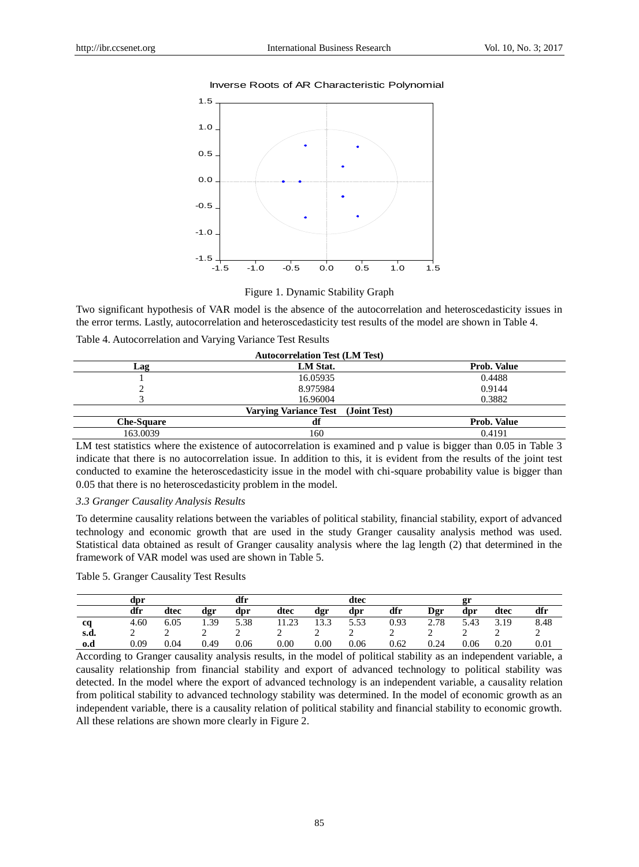#### Inverse Roots of AR Characteristic Polynomial



Figure 1. Dynamic Stability Graph

Two significant hypothesis of VAR model is the absence of the autocorrelation and heteroscedasticity issues in the error terms. Lastly, autocorrelation and heteroscedasticity test results of the model are shown in Table 4.

Table 4. Autocorrelation and Varying Variance Test Results

|                   | <b>Autocorrelation Test (LM Test)</b> |                    |
|-------------------|---------------------------------------|--------------------|
| Lag               | LM Stat.                              | <b>Prob. Value</b> |
|                   | 16.05935                              | 0.4488             |
|                   | 8.975984                              | 0.9144             |
|                   | 16.96004                              | 0.3882             |
|                   | Varving Variance Test (Joint Test)    |                    |
| <b>Che-Square</b> | df                                    | Prob. Value        |
| 163.0039          | 160                                   | 0.4191             |

LM test statistics where the existence of autocorrelation is examined and p value is bigger than 0.05 in Table 3 indicate that there is no autocorrelation issue. In addition to this, it is evident from the results of the joint test conducted to examine the heteroscedasticity issue in the model with chi-square probability value is bigger than 0.05 that there is no heteroscedasticity problem in the model.

#### *3.3 Granger Causality Analysis Results*

To determine causality relations between the variables of political stability, financial stability, export of advanced technology and economic growth that are used in the study Granger causality analysis method was used. Statistical data obtained as result of Granger causality analysis where the lag length (2) that determined in the framework of VAR model was used are shown in Table 5.

|      | dpr  |      |      | dfr  |       |      | dtec |      |      | 2r   |      |      |
|------|------|------|------|------|-------|------|------|------|------|------|------|------|
|      | dfr  | dtec | dgr  | dpr  | dtec  | dgr  | dpr  | dfr  | Dgr  | dpr  | dtec | dfr  |
| cq   | 4.60 | 6.05 | 1.39 | 5.38 | 11.23 | 13.3 | 5.53 | 0.93 | 2.78 | 5.43 | 3.19 | 8.48 |
| s.d. |      |      |      |      |       |      | ∼    |      |      |      |      |      |
| 0.d  | 0.09 | 0.04 | 0.49 | 0.06 | 0.00  | 0.00 | 0.06 | 0.62 | 0.24 | 0.06 | 0.20 | 0.01 |

According to Granger causality analysis results, in the model of political stability as an independent variable, a causality relationship from financial stability and export of advanced technology to political stability was detected. In the model where the export of advanced technology is an independent variable, a causality relation from political stability to advanced technology stability was determined. In the model of economic growth as an independent variable, there is a causality relation of political stability and financial stability to economic growth. All these relations are shown more clearly in Figure 2.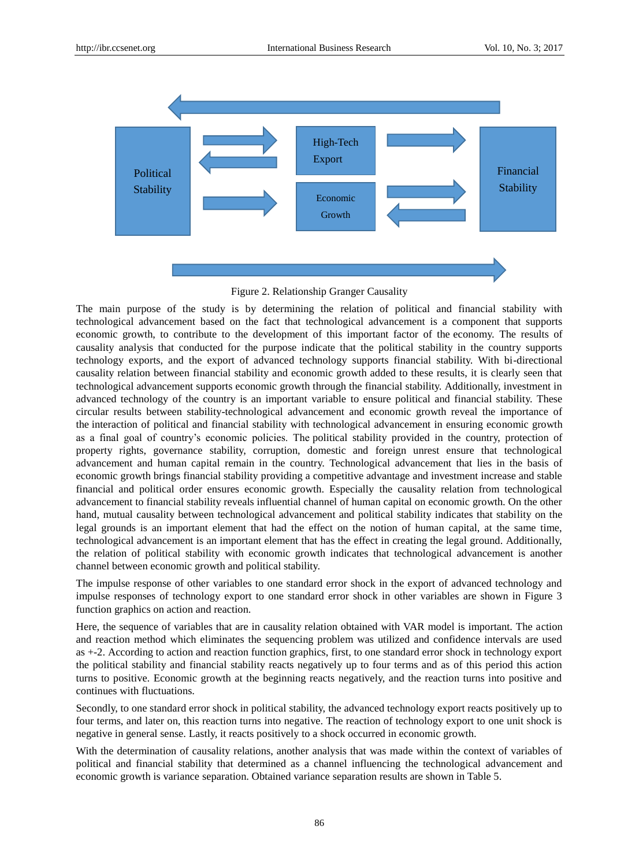

Figure 2. Relationship Granger Causality

The main purpose of the study is by determining the relation of political and financial stability with technological advancement based on the fact that technological advancement is a component that supports economic growth, to contribute to the development of this important factor of the economy. The results of causality analysis that conducted for the purpose indicate that the political stability in the country supports technology exports, and the export of advanced technology supports financial stability. With bi-directional causality relation between financial stability and economic growth added to these results, it is clearly seen that technological advancement supports economic growth through the financial stability. Additionally, investment in advanced technology of the country is an important variable to ensure political and financial stability. These circular results between stability-technological advancement and economic growth reveal the importance of the interaction of political and financial stability with technological advancement in ensuring economic growth as a final goal of country's economic policies. The political stability provided in the country, protection of property rights, governance stability, corruption, domestic and foreign unrest ensure that technological advancement and human capital remain in the country. Technological advancement that lies in the basis of economic growth brings financial stability providing a competitive advantage and investment increase and stable financial and political order ensures economic growth. Especially the causality relation from technological advancement to financial stability reveals influential channel of human capital on economic growth. On the other hand, mutual causality between technological advancement and political stability indicates that stability on the legal grounds is an important element that had the effect on the notion of human capital, at the same time, technological advancement is an important element that has the effect in creating the legal ground. Additionally, the relation of political stability with economic growth indicates that technological advancement is another channel between economic growth and political stability.

The impulse response of other variables to one standard error shock in the export of advanced technology and impulse responses of technology export to one standard error shock in other variables are shown in Figure 3 function graphics on action and reaction.

Here, the sequence of variables that are in causality relation obtained with VAR model is important. The action and reaction method which eliminates the sequencing problem was utilized and confidence intervals are used as +-2. According to action and reaction function graphics, first, to one standard error shock in technology export the political stability and financial stability reacts negatively up to four terms and as of this period this action turns to positive. Economic growth at the beginning reacts negatively, and the reaction turns into positive and continues with fluctuations.

Secondly, to one standard error shock in political stability, the advanced technology export reacts positively up to four terms, and later on, this reaction turns into negative. The reaction of technology export to one unit shock is negative in general sense. Lastly, it reacts positively to a shock occurred in economic growth.

With the determination of causality relations, another analysis that was made within the context of variables of political and financial stability that determined as a channel influencing the technological advancement and economic growth is variance separation. Obtained variance separation results are shown in Table 5.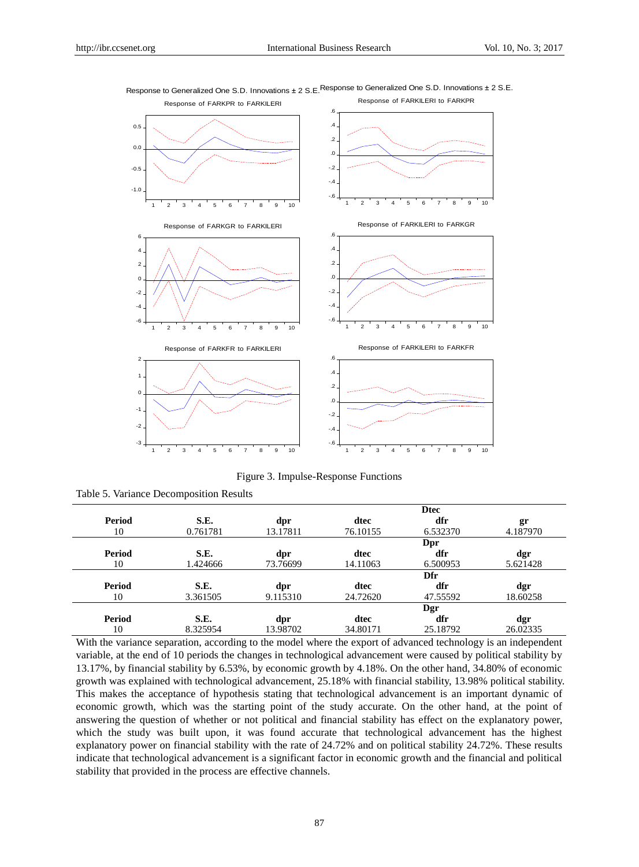

Response to Generalized One S.D. Innovations  $\pm 2$  S.E. Response to Generalized One S.D. Innovations  $\pm 2$  S.E.

Figure 3. Impulse-Response Functions

Table 5. Variance Decomposition Results

|               |          | <b>Dtec</b> |          |          |          |  |
|---------------|----------|-------------|----------|----------|----------|--|
| Period        | S.E.     | dpr         | dtec     | dfr      | gr       |  |
| 10            | 0.761781 | 13.17811    | 76.10155 | 6.532370 | 4.187970 |  |
|               |          |             |          | Dpr      |          |  |
| Period        | S.E.     | dpr         | dtec     | dfr      | dgr      |  |
| 10            | 1.424666 | 73.76699    | 14.11063 | 6.500953 | 5.621428 |  |
|               |          |             |          | Dfr      |          |  |
| <b>Period</b> | S.E.     | dpr         | dtec     | dfr      | dgr      |  |
| 10            | 3.361505 | 9.115310    | 24.72620 | 47.55592 | 18.60258 |  |
|               |          |             |          | Dgr      |          |  |
|               |          |             |          |          |          |  |
| <b>Period</b> | S.E.     | dpr         | dtec     | dfr      | dgr      |  |

With the variance separation, according to the model where the export of advanced technology is an independent variable, at the end of 10 periods the changes in technological advancement were caused by political stability by 13.17%, by financial stability by 6.53%, by economic growth by 4.18%. On the other hand, 34.80% of economic growth was explained with technological advancement, 25.18% with financial stability, 13.98% political stability. This makes the acceptance of hypothesis stating that technological advancement is an important dynamic of economic growth, which was the starting point of the study accurate. On the other hand, at the point of answering the question of whether or not political and financial stability has effect on the explanatory power, which the study was built upon, it was found accurate that technological advancement has the highest explanatory power on financial stability with the rate of 24.72% and on political stability 24.72%. These results indicate that technological advancement is a significant factor in economic growth and the financial and political stability that provided in the process are effective channels.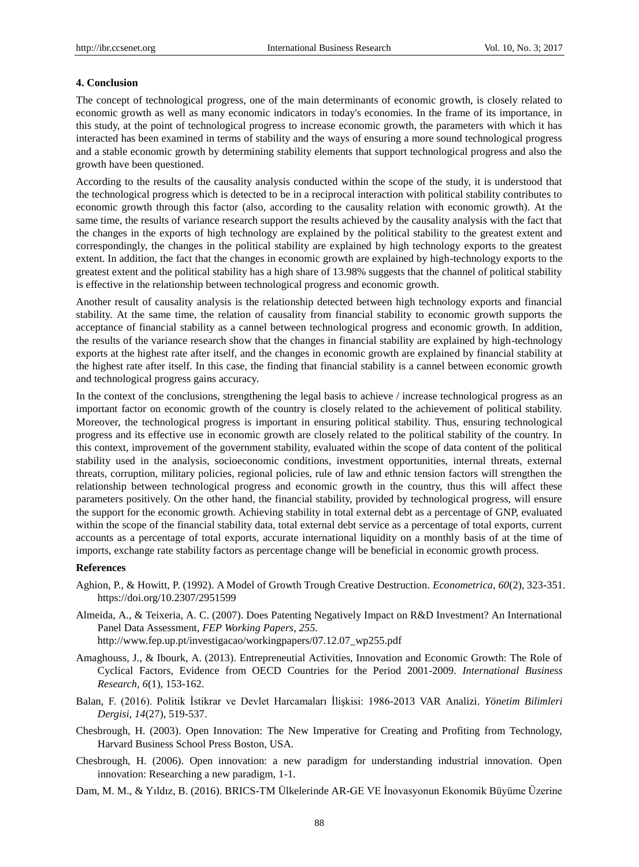#### **4. Conclusion**

The concept of technological progress, one of the main determinants of economic growth, is closely related to economic growth as well as many economic indicators in today's economies. In the frame of its importance, in this study, at the point of technological progress to increase economic growth, the parameters with which it has interacted has been examined in terms of stability and the ways of ensuring a more sound technological progress and a stable economic growth by determining stability elements that support technological progress and also the growth have been questioned.

According to the results of the causality analysis conducted within the scope of the study, it is understood that the technological progress which is detected to be in a reciprocal interaction with political stability contributes to economic growth through this factor (also, according to the causality relation with economic growth). At the same time, the results of variance research support the results achieved by the causality analysis with the fact that the changes in the exports of high technology are explained by the political stability to the greatest extent and correspondingly, the changes in the political stability are explained by high technology exports to the greatest extent. In addition, the fact that the changes in economic growth are explained by high-technology exports to the greatest extent and the political stability has a high share of 13.98% suggests that the channel of political stability is effective in the relationship between technological progress and economic growth.

Another result of causality analysis is the relationship detected between high technology exports and financial stability. At the same time, the relation of causality from financial stability to economic growth supports the acceptance of financial stability as a cannel between technological progress and economic growth. In addition, the results of the variance research show that the changes in financial stability are explained by high-technology exports at the highest rate after itself, and the changes in economic growth are explained by financial stability at the highest rate after itself. In this case, the finding that financial stability is a cannel between economic growth and technological progress gains accuracy.

In the context of the conclusions, strengthening the legal basis to achieve / increase technological progress as an important factor on economic growth of the country is closely related to the achievement of political stability. Moreover, the technological progress is important in ensuring political stability. Thus, ensuring technological progress and its effective use in economic growth are closely related to the political stability of the country. In this context, improvement of the government stability, evaluated within the scope of data content of the political stability used in the analysis, socioeconomic conditions, investment opportunities, internal threats, external threats, corruption, military policies, regional policies, rule of law and ethnic tension factors will strengthen the relationship between technological progress and economic growth in the country, thus this will affect these parameters positively. On the other hand, the financial stability, provided by technological progress, will ensure the support for the economic growth. Achieving stability in total external debt as a percentage of GNP, evaluated within the scope of the financial stability data, total external debt service as a percentage of total exports, current accounts as a percentage of total exports, accurate international liquidity on a monthly basis of at the time of imports, exchange rate stability factors as percentage change will be beneficial in economic growth process.

#### **References**

- Aghion, P., & Howitt, P. (1992). A Model of Growth Trough Creative Destruction. *Econometrica*, *60*(2), 323-351. https://doi.org/10.2307/2951599
- Almeida, A., & Teixeria, A. C. (2007). Does Patenting Negatively Impact on R&D Investment? An International Panel Data Assessment, *FEP Working Papers, 255.* http://www.fep.up.pt/investigacao/workingpapers/07.12.07\_wp255.pdf
- Amaghouss, J., & Ibourk, A. (2013). Entrepreneutial Activities, Innovation and Economic Growth: The Role of Cyclical Factors, Evidence from OECD Countries for the Period 2001-2009. *International Business Research, 6*(1), 153-162.
- Balan, F. (2016). Politik İstikrar ve Devlet Harcamaları İlişkisi: 1986-2013 VAR Analizi. *Yönetim Bilimleri Dergisi, 14*(27), 519-537.
- Chesbrough, H. (2003). Open Innovation: The New Imperative for Creating and Profiting from Technology, Harvard Business School Press Boston, USA.
- Chesbrough, H. (2006). Open innovation: a new paradigm for understanding industrial innovation. Open innovation: Researching a new paradigm, 1-1.
- Dam, M. M., & Yıldız, B. (2016). BRICS-TM Ülkelerinde AR-GE VE İnovasyonun Ekonomik Büyüme Üzerine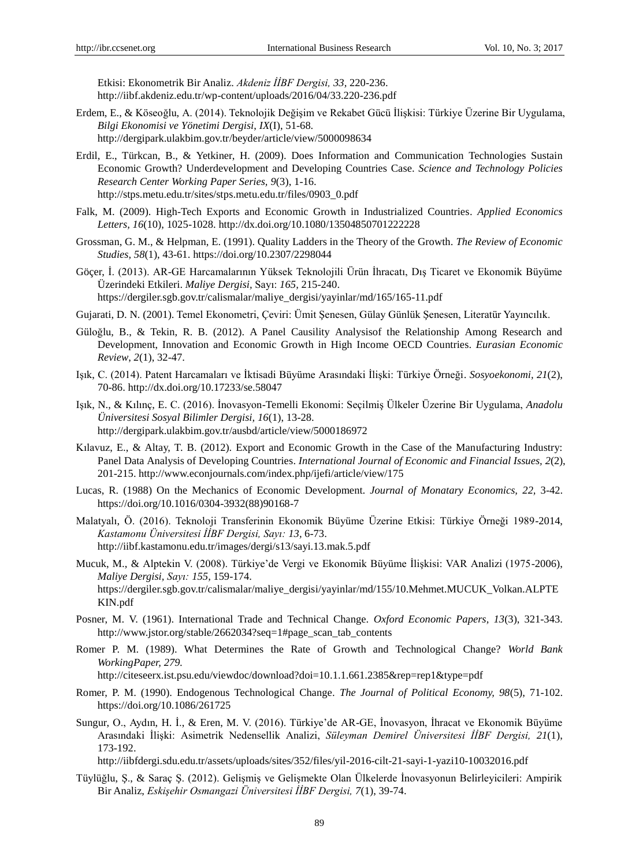Etkisi: Ekonometrik Bir Analiz. *Akdeniz İİBF Dergisi, 33,* 220-236. http://iibf.akdeniz.edu.tr/wp-content/uploads/2016/04/33.220-236.pdf

- Erdem, E., & Köseoğlu, A. (2014). Teknolojik Değişim ve Rekabet Gücü İlişkisi: Türkiye Üzerine Bir Uygulama, *Bilgi Ekonomisi ve Yönetimi Dergisi*, *IX*(I), 51-68. http://dergipark.ulakbim.gov.tr/beyder/article/view/5000098634
- Erdil, E., Türkcan, B., & Yetkiner, H. (2009). Does Information and Communication Technologies Sustain Economic Growth? Underdevelopment and Developing Countries Case. *Science and Technology Policies Research Center Working Paper Series, 9*(3), 1-16. http://stps.metu.edu.tr/sites/stps.metu.edu.tr/files/0903\_0.pdf
- Falk, M. (2009). High-Tech Exports and Economic Growth in Industrialized Countries. *Applied Economics Letters, 16*(10), 1025-1028. http://dx.doi.org/10.1080/13504850701222228
- Grossman, G. M., & Helpman, E. (1991). Quality Ladders in the Theory of the Growth. *The Review of Economic Studies, 58*(1), 43-61. https://doi.org/10.2307/2298044
- Göçer, İ. (2013). AR-GE Harcamalarının Yüksek Teknolojili Ürün İhracatı, Dış Ticaret ve Ekonomik Büyüme Üzerindeki Etkileri. *Maliye Dergisi,* Sayı: *165,* 215-240. https://dergiler.sgb.gov.tr/calismalar/maliye\_dergisi/yayinlar/md/165/165-11.pdf
- Gujarati, D. N. (2001). Temel Ekonometri, Çeviri: Ümit Şenesen, Gülay Günlük Şenesen, Literatür Yayıncılık.
- Güloğlu, B., & Tekin, R. B. (2012). A Panel Causility Analysisof the Relationship Among Research and Development, Innovation and Economic Growth in High Income OECD Countries. *Eurasian Economic Review*, *2*(1), 32-47.
- Işık, C. (2014). Patent Harcamaları ve İktisadi Büyüme Arasındaki İlişki: Türkiye Örneği. *Sosyoekonomi, 21*(2), 70-86. http://dx.doi.org/10.17233/se.58047
- Işık, N., & Kılınç, E. C. (2016). İnovasyon-Temelli Ekonomi: Seçilmiş Ülkeler Üzerine Bir Uygulama, *Anadolu Üniversitesi Sosyal Bilimler Dergisi, 16*(1), 13-28. http://dergipark.ulakbim.gov.tr/ausbd/article/view/5000186972
- Kılavuz, E., & Altay, T. B. (2012). Export and Economic Growth in the Case of the Manufacturing Industry: Panel Data Analysis of Developing Countries. *International Journal of Economic and Financial Issues, 2*(2), 201-215. http://www.econjournals.com/index.php/ijefi/article/view/175
- Lucas, R. (1988) On the Mechanics of Economic Development. *Journal of Monatary Economics, 22,* 3-42. https://doi.org/10.1016/0304-3932(88)90168-7
- Malatyalı, Ö. (2016). Teknoloji Transferinin Ekonomik Büyüme Üzerine Etkisi: Türkiye Örneği 1989-2014, *Kastamonu Üniversitesi İİBF Dergisi, Sayı: 13,* 6-73. http://iibf.kastamonu.edu.tr/images/dergi/s13/sayi.13.mak.5.pdf
- Mucuk, M., & Alptekin V. (2008). Türkiye'de Vergi ve Ekonomik Büyüme İlişkisi: VAR Analizi (1975-2006), *Maliye Dergisi, Sayı: 155,* 159-174. https://dergiler.sgb.gov.tr/calismalar/maliye\_dergisi/yayinlar/md/155/10.Mehmet.MUCUK\_Volkan.ALPTE KIN.pdf
- Posner, M. V. (1961). International Trade and Technical Change. *Oxford Economic Papers, 13*(3), 321-343. http://www.jstor.org/stable/2662034?seq=1#page\_scan\_tab\_contents
- Romer P. M. (1989). What Determines the Rate of Growth and Technological Change? *World Bank WorkingPaper, 279.*

http://citeseerx.ist.psu.edu/viewdoc/download?doi=10.1.1.661.2385&rep=rep1&type=pdf

- Romer, P. M. (1990). Endogenous Technological Change. *The Journal of Political Economy, 98*(5), 71-102. https://doi.org/10.1086/261725
- Sungur, O., Aydın, H. İ., & Eren, M. V. (2016). Türkiye'de AR-GE, İnovasyon, İhracat ve Ekonomik Büyüme Arasındaki İlişki: Asimetrik Nedensellik Analizi, *Süleyman Demirel Üniversitesi İİBF Dergisi, 21*(1), 173-192.

http://iibfdergi.sdu.edu.tr/assets/uploads/sites/352/files/yil-2016-cilt-21-sayi-1-yazi10-10032016.pdf

Tüylüğlu, Ş., & Saraç Ş. (2012). Gelişmiş ve Gelişmekte Olan Ülkelerde İnovasyonun Belirleyicileri: Ampirik Bir Analiz, *Eskişehir Osmangazi Üniversitesi İİBF Dergisi, 7*(1), 39-74.